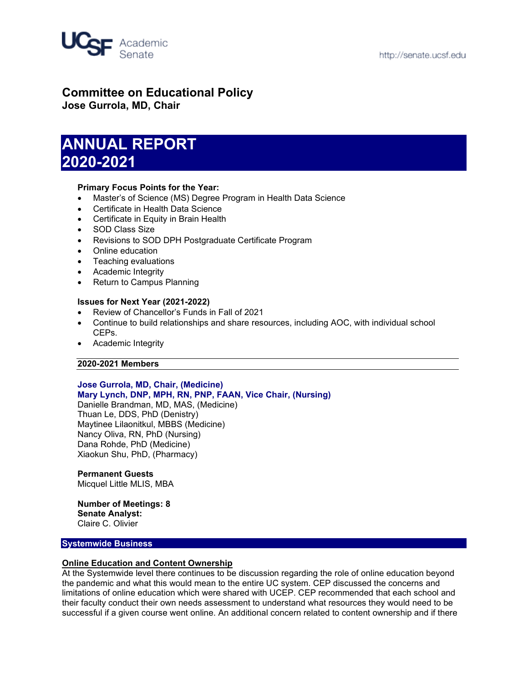

# **Committee on Educational Policy**

**Jose Gurrola, MD, Chair**

# **ANNUAL REPORT 2020-2021**

# **Primary Focus Points for the Year:**

- Master's of Science (MS) Degree Program in Health Data Science
- Certificate in Health Data Science
- Certificate in Equity in Brain Health
- SOD Class Size
- Revisions to SOD DPH Postgraduate Certificate Program
- Online education
- Teaching evaluations
- Academic Integrity
- Return to Campus Planning

# **Issues for Next Year (2021-2022)**

- Review of Chancellor's Funds in Fall of 2021
- Continue to build relationships and share resources, including AOC, with individual school CEPs.
- Academic Integrity

# **2020-2021 Members**

#### **Jose Gurrola, MD, Chair, (Medicine) Mary Lynch, DNP, MPH, RN, PNP, FAAN, Vice Chair, (Nursing)**

Danielle Brandman, MD, MAS, (Medicine) Thuan Le, DDS, PhD (Denistry) Maytinee Lilaonitkul, MBBS (Medicine) Nancy Oliva, RN, PhD (Nursing) Dana Rohde, PhD (Medicine) Xiaokun Shu, PhD, (Pharmacy)

# **Permanent Guests**

Micquel Little MLIS, MBA

# **Number of Meetings: 8**

**Senate Analyst:** Claire C. Olivier

# **Systemwide Business**

# **Online Education and Content Ownership**

At the Systemwide level there continues to be discussion regarding the role of online education beyond the pandemic and what this would mean to the entire UC system. CEP discussed the concerns and limitations of online education which were shared with UCEP. CEP recommended that each school and their faculty conduct their own needs assessment to understand what resources they would need to be successful if a given course went online. An additional concern related to content ownership and if there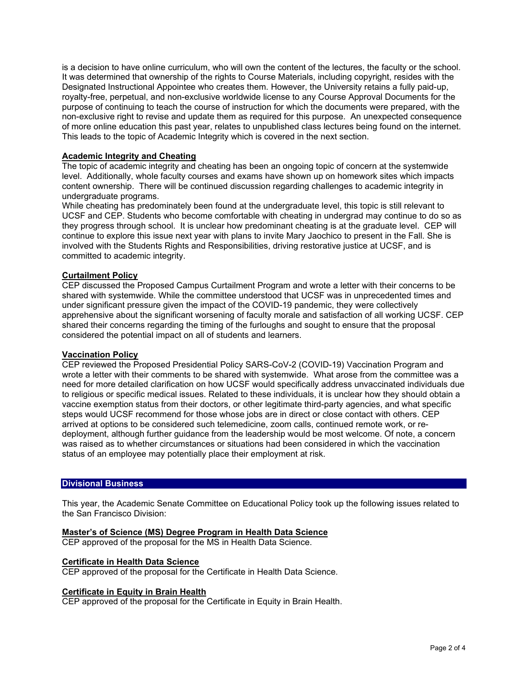is a decision to have online curriculum, who will own the content of the lectures, the faculty or the school. It was determined that ownership of the rights to Course Materials, including copyright, resides with the Designated Instructional Appointee who creates them. However, the University retains a fully paid-up, royalty-free, perpetual, and non-exclusive worldwide license to any Course Approval Documents for the purpose of continuing to teach the course of instruction for which the documents were prepared, with the non-exclusive right to revise and update them as required for this purpose. An unexpected consequence of more online education this past year, relates to unpublished class lectures being found on the internet. This leads to the topic of Academic Integrity which is covered in the next section.

# **Academic Integrity and Cheating**

The topic of academic integrity and cheating has been an ongoing topic of concern at the systemwide level. Additionally, whole faculty courses and exams have shown up on homework sites which impacts content ownership. There will be continued discussion regarding challenges to academic integrity in undergraduate programs.

While cheating has predominately been found at the undergraduate level, this topic is still relevant to UCSF and CEP. Students who become comfortable with cheating in undergrad may continue to do so as they progress through school. It is unclear how predominant cheating is at the graduate level. CEP will continue to explore this issue next year with plans to invite Mary Jaochico to present in the Fall. She is involved with the Students Rights and Responsibilities, driving restorative justice at UCSF, and is committed to academic integrity.

# **Curtailment Policy**

CEP discussed the Proposed Campus Curtailment Program and wrote a letter with their concerns to be shared with systemwide. While the committee understood that UCSF was in unprecedented times and under significant pressure given the impact of the COVID-19 pandemic, they were collectively apprehensive about the significant worsening of faculty morale and satisfaction of all working UCSF. CEP shared their concerns regarding the timing of the furloughs and sought to ensure that the proposal considered the potential impact on all of students and learners.

# **Vaccination Policy**

CEP reviewed the Proposed Presidential Policy SARS-CoV-2 (COVID-19) Vaccination Program and wrote a letter with their comments to be shared with systemwide. What arose from the committee was a need for more detailed clarification on how UCSF would specifically address unvaccinated individuals due to religious or specific medical issues. Related to these individuals, it is unclear how they should obtain a vaccine exemption status from their doctors, or other legitimate third-party agencies, and what specific steps would UCSF recommend for those whose jobs are in direct or close contact with others. CEP arrived at options to be considered such telemedicine, zoom calls, continued remote work, or redeployment, although further guidance from the leadership would be most welcome. Of note, a concern was raised as to whether circumstances or situations had been considered in which the vaccination status of an employee may potentially place their employment at risk.

# **Divisional Business**

This year, the Academic Senate Committee on Educational Policy took up the following issues related to the San Francisco Division:

# **Master's of Science (MS) Degree Program in Health Data Science**

CEP approved of the proposal for the MS in Health Data Science.

#### **Certificate in Health Data Science**

CEP approved of the proposal for the Certificate in Health Data Science.

# **Certificate in Equity in Brain Health**

CEP approved of the proposal for the Certificate in Equity in Brain Health.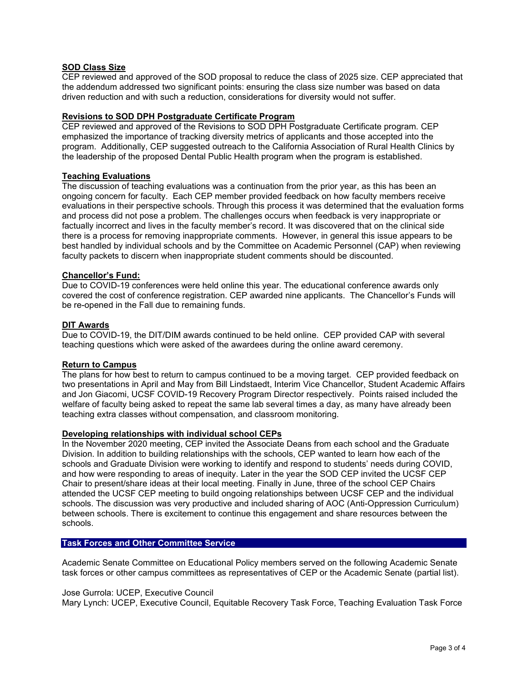# **SOD Class Size**

CEP reviewed and approved of the SOD proposal to reduce the class of 2025 size. CEP appreciated that the addendum addressed two significant points: ensuring the class size number was based on data driven reduction and with such a reduction, considerations for diversity would not suffer.

# **Revisions to SOD DPH Postgraduate Certificate Program**

CEP reviewed and approved of the Revisions to SOD DPH Postgraduate Certificate program. CEP emphasized the importance of tracking diversity metrics of applicants and those accepted into the program. Additionally, CEP suggested outreach to the California Association of Rural Health Clinics by the leadership of the proposed Dental Public Health program when the program is established.

# **Teaching Evaluations**

The discussion of teaching evaluations was a continuation from the prior year, as this has been an ongoing concern for faculty. Each CEP member provided feedback on how faculty members receive evaluations in their perspective schools. Through this process it was determined that the evaluation forms and process did not pose a problem. The challenges occurs when feedback is very inappropriate or factually incorrect and lives in the faculty member's record. It was discovered that on the clinical side there is a process for removing inappropriate comments. However, in general this issue appears to be best handled by individual schools and by the Committee on Academic Personnel (CAP) when reviewing faculty packets to discern when inappropriate student comments should be discounted.

# **Chancellor's Fund:**

Due to COVID-19 conferences were held online this year. The educational conference awards only covered the cost of conference registration. CEP awarded nine applicants. The Chancellor's Funds will be re-opened in the Fall due to remaining funds.

# **DIT Awards**

Due to COVID-19, the DIT/DIM awards continued to be held online. CEP provided CAP with several teaching questions which were asked of the awardees during the online award ceremony.

# **Return to Campus**

The plans for how best to return to campus continued to be a moving target. CEP provided feedback on two presentations in April and May from Bill Lindstaedt, Interim Vice Chancellor, Student Academic Affairs and Jon Giacomi, UCSF COVID-19 Recovery Program Director respectively. Points raised included the welfare of faculty being asked to repeat the same lab several times a day, as many have already been teaching extra classes without compensation, and classroom monitoring.

# **Developing relationships with individual school CEPs**

In the November 2020 meeting, CEP invited the Associate Deans from each school and the Graduate Division. In addition to building relationships with the schools, CEP wanted to learn how each of the schools and Graduate Division were working to identify and respond to students' needs during COVID, and how were responding to areas of inequity. Later in the year the SOD CEP invited the UCSF CEP Chair to present/share ideas at their local meeting. Finally in June, three of the school CEP Chairs attended the UCSF CEP meeting to build ongoing relationships between UCSF CEP and the individual schools. The discussion was very productive and included sharing of AOC (Anti-Oppression Curriculum) between schools. There is excitement to continue this engagement and share resources between the schools.

#### **Task Forces and Other Committee Service**

Academic Senate Committee on Educational Policy members served on the following Academic Senate task forces or other campus committees as representatives of CEP or the Academic Senate (partial list).

#### Jose Gurrola: UCEP, Executive Council

Mary Lynch: UCEP, Executive Council, Equitable Recovery Task Force, Teaching Evaluation Task Force